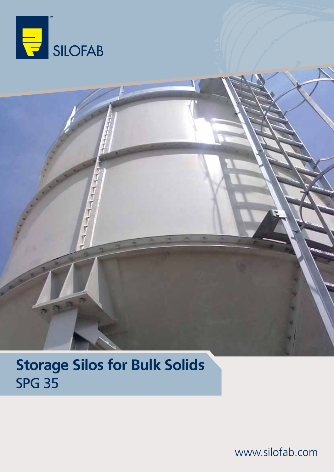

## **Storage Silos for Bulk Solids** SPG 35

www.silofab.com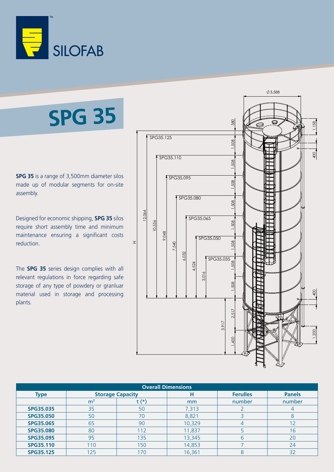

# **SPG 35**

**SPG 35** is a range of 3,500mm diameter silos made up of modular segments for on-site assembly.

Designed for economic shipping, **SPG 35** silos require short assembly time and minimum maintenance ensuring a significant costs reduction.

The **SPG 35** series design complies with all relevant regulations in force regarding safe storage of any type of powdery or granluar material used in storage and processing plants.



| <b>Overall Dimensions</b> |                         |       |        |                 |                |
|---------------------------|-------------------------|-------|--------|-----------------|----------------|
| <b>Type</b>               | <b>Storage Capacity</b> |       | н      | <b>Ferulles</b> | <b>Panels</b>  |
|                           | m <sup>3</sup>          | t (*) | mm     | number          | number         |
| <b>SPG35.035</b>          | 35                      | 50    | 7,313  |                 | $\overline{4}$ |
| <b>SPG35.050</b>          | 50                      | 70    | 8,821  |                 | 8              |
| <b>SPG35.065</b>          | 65                      | 90    | 10,329 |                 | 12             |
| <b>SPG35.080</b>          | 80                      | 112   | 11,837 |                 | 16             |
| <b>SPG35.095</b>          | 95                      | 135   | 13,345 | 6               | 20             |
| <b>SPG35.110</b>          | 110                     | 150   | 14,853 |                 | 24             |
| <b>SPG35.125</b>          | 125                     | 170   | 16,361 | 8               | 32             |
|                           |                         |       |        |                 |                |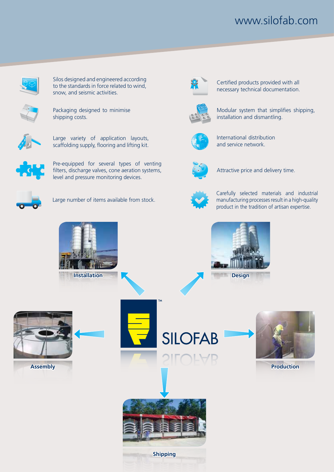### www.silofab.com



Silos designed and engineered according to the standards in force related to wind, snow, and seismic activities.



Packaging designed to minimise shipping costs.



Large variety of application layouts, scaffolding supply, flooring and lifting kit.



Pre-equipped for several types of venting filters, discharge valves, cone aeration systems, level and pressure monitoring devices.



Large number of items available from stock.



Certified products provided with all necessary technical documentation.



Modular system that simplifies shipping, installation and dismantling.



International distribution and service network.



Attractive price and delivery time.



Carefully selected materials and industrial manufacturing processes result in a high-quality product in the tradition of artisan expertise.